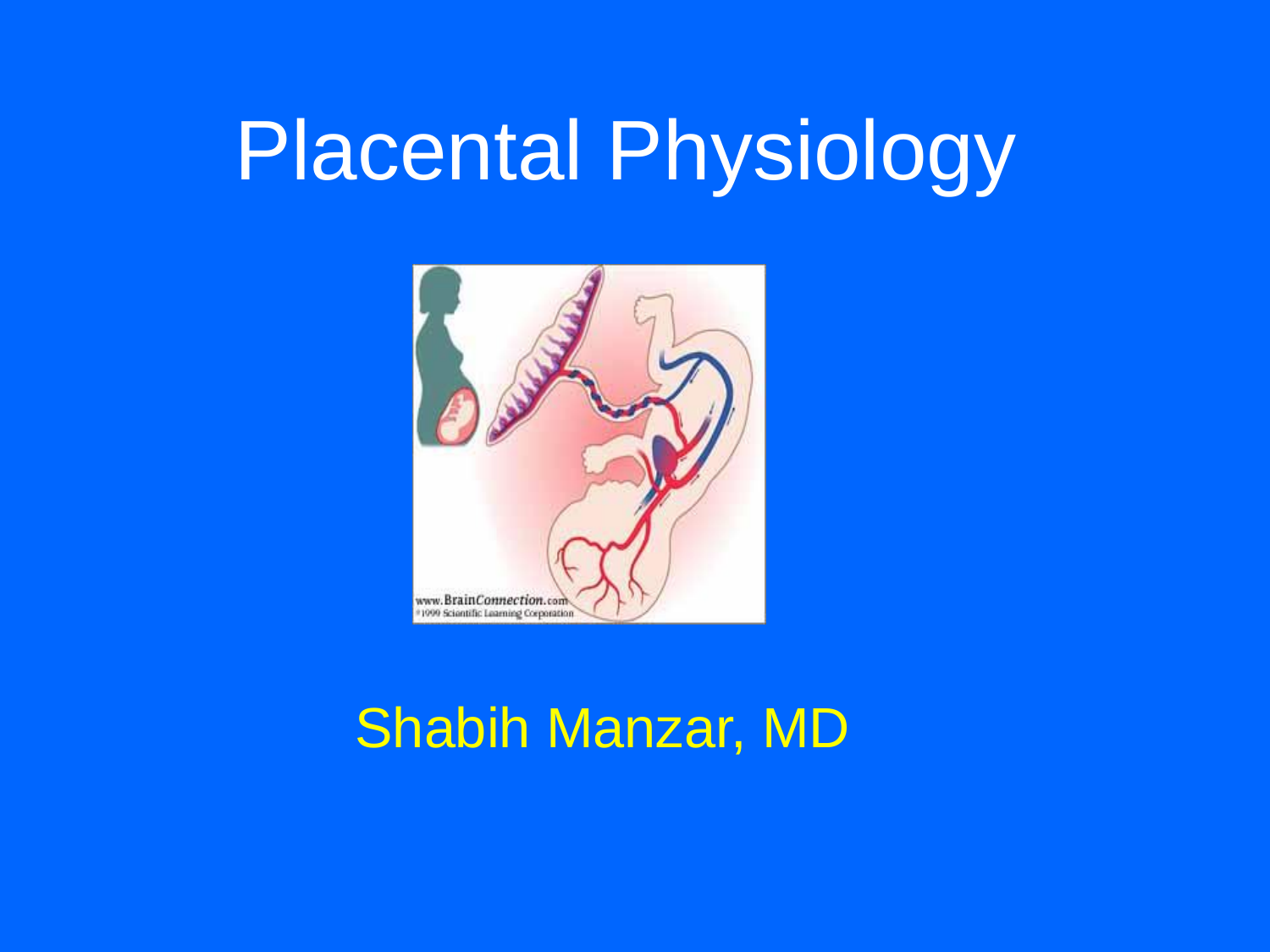

### Shabih Manzar, MD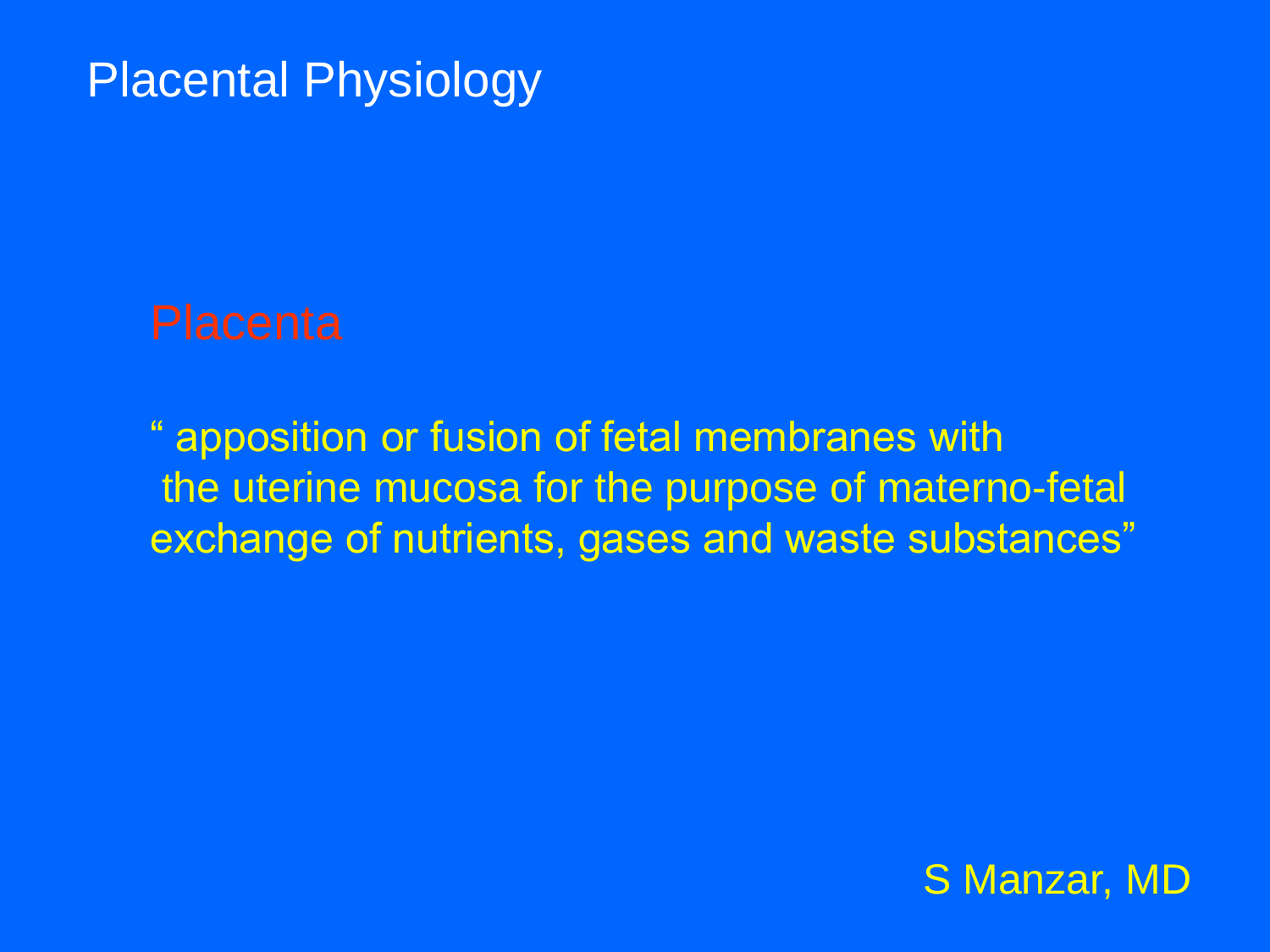" apposition or fusion of fetal membranes with the uterine mucosa for the purpose of materno-fetal exchange of nutrients, gases and waste substances"

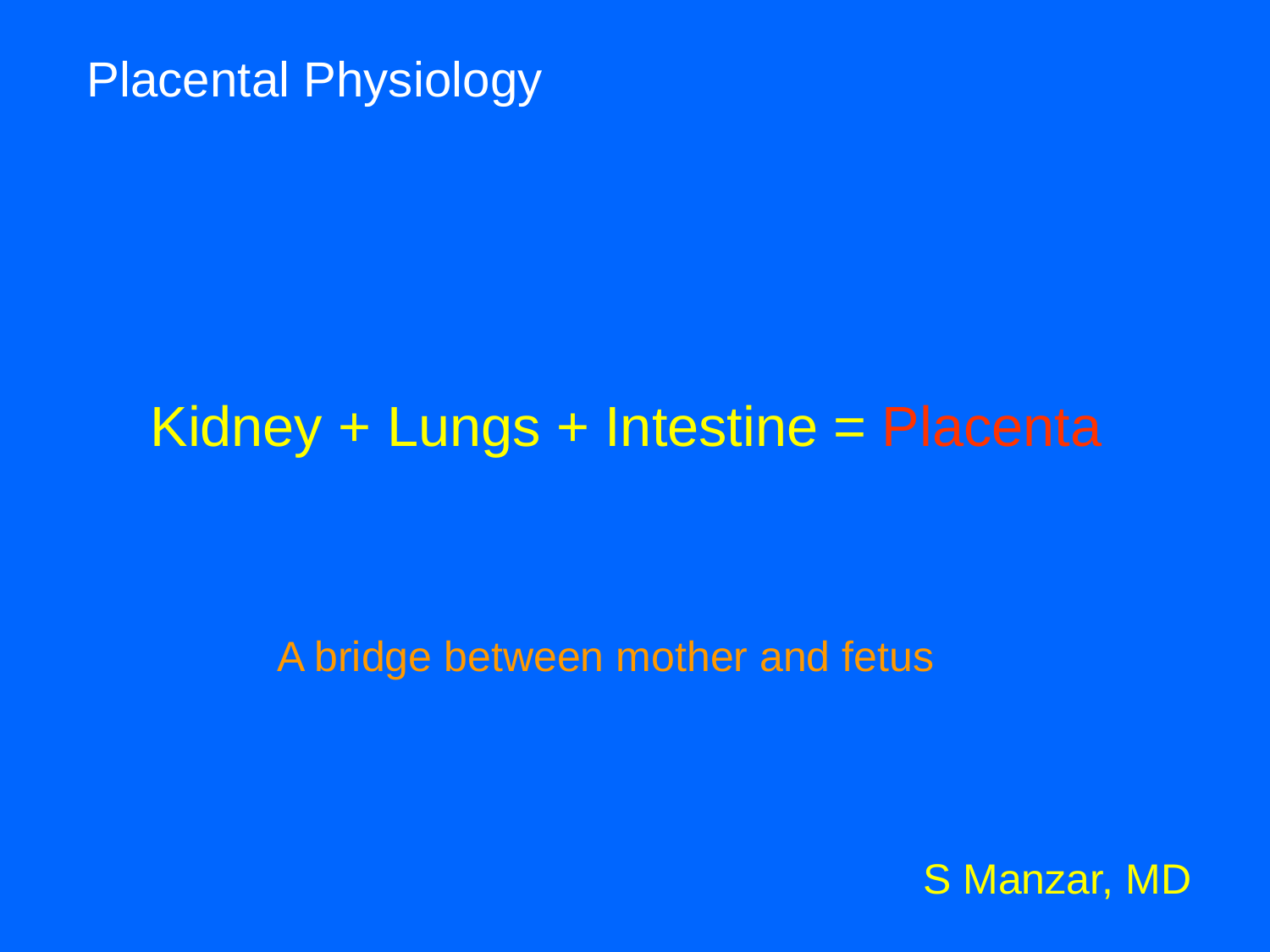## Kidney + Lungs + Intestine = Placenta

#### A bridge between mother and fetus

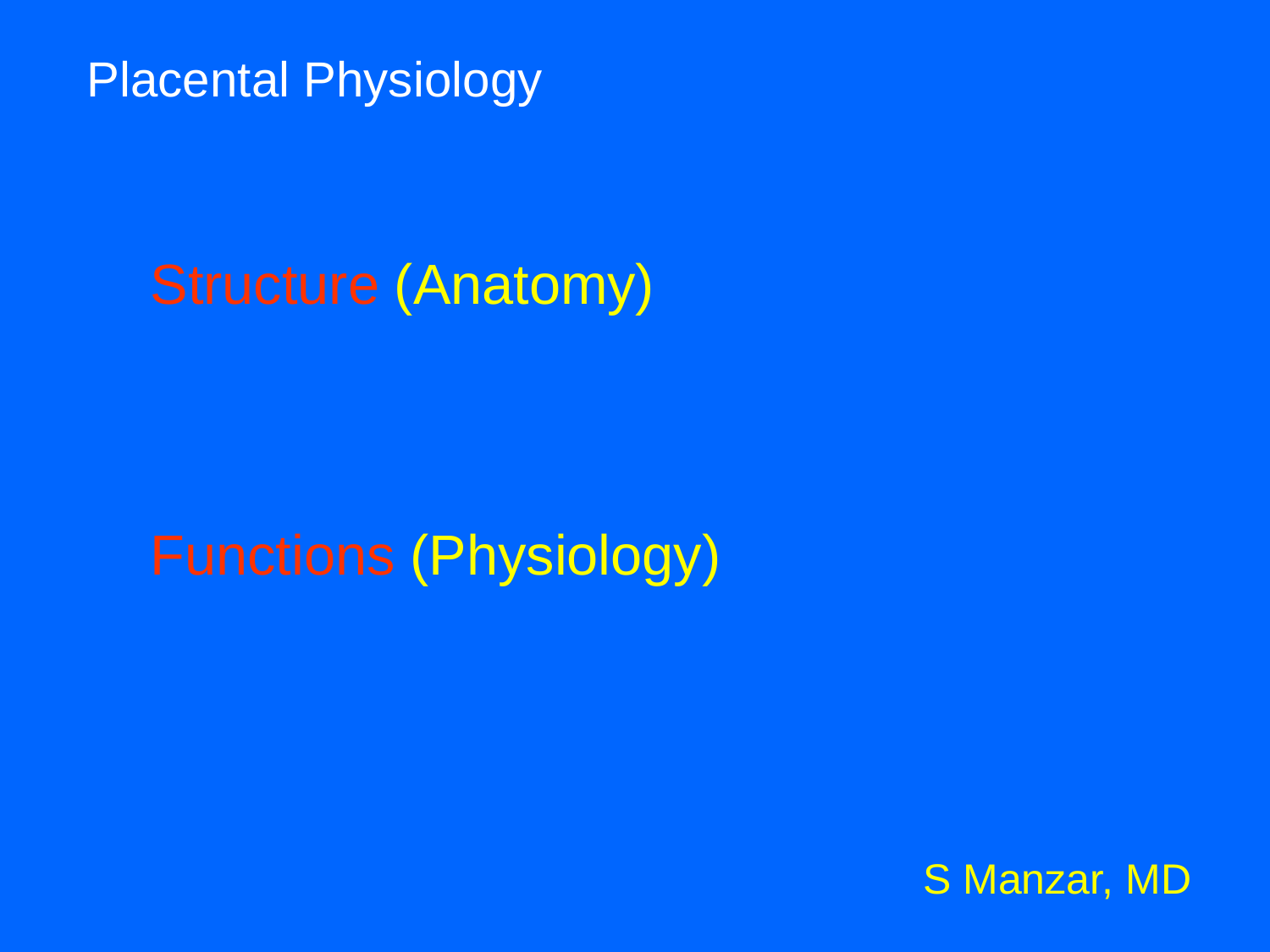## Structure (Anatomy)

Functions (Physiology)

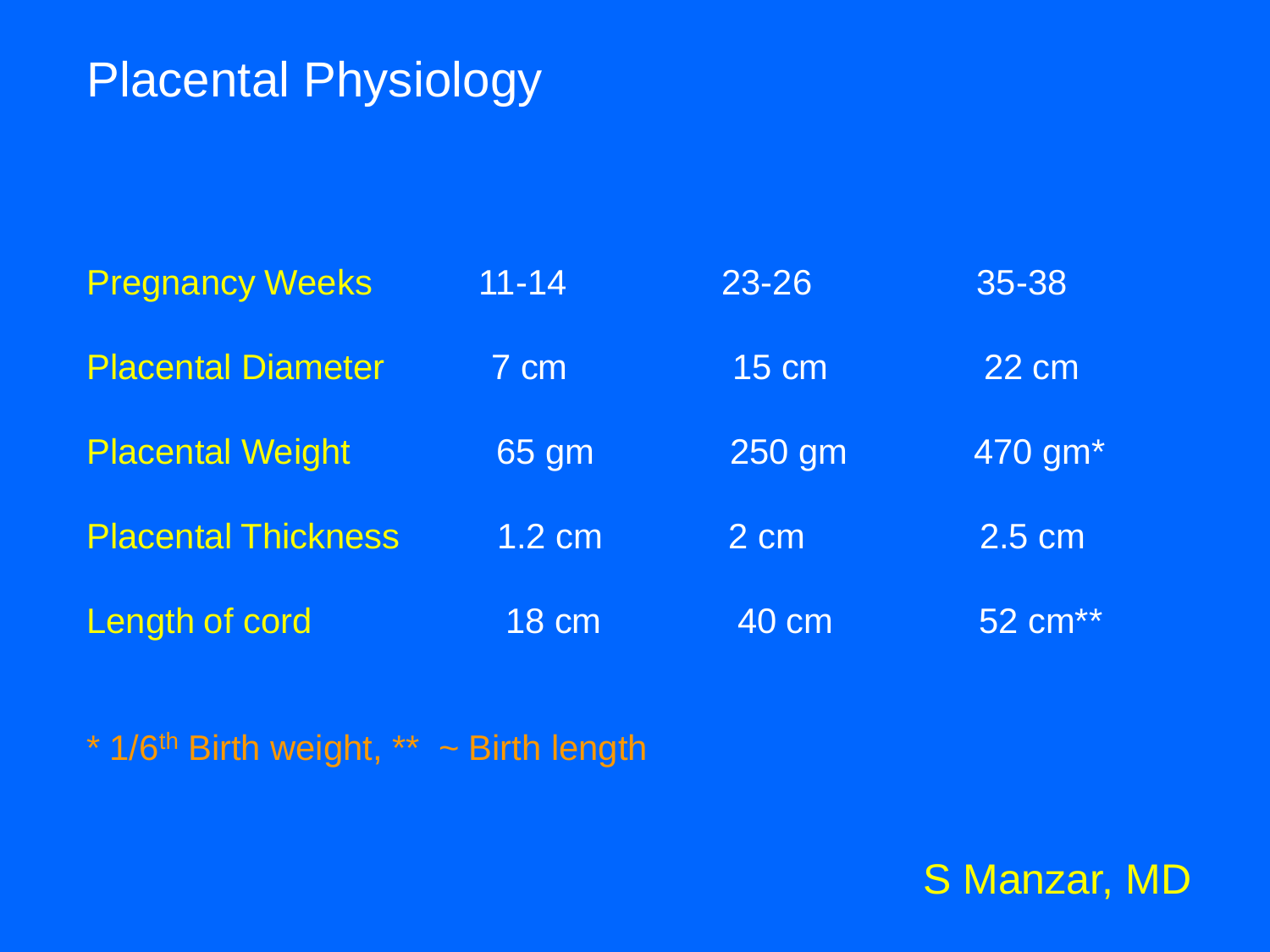| <b>Pregnancy Weeks</b>     | $11 - 14$    | 23-26          | 35-38               |
|----------------------------|--------------|----------------|---------------------|
| <b>Placental Diameter</b>  | 7 cm         | <b>15 cm</b>   | 22 cm               |
| <b>Placental Weight</b>    | 65 gm        | 250 gm         | 470 gm*             |
| <b>Placental Thickness</b> | $1.2$ cm     | $2 \text{ cm}$ | 2.5 cm              |
| Length of cord             | <b>18 cm</b> | 40 cm          | 52 cm <sup>**</sup> |

 $*$  1/6<sup>th</sup> Birth weight,  $**$  ~ Birth length

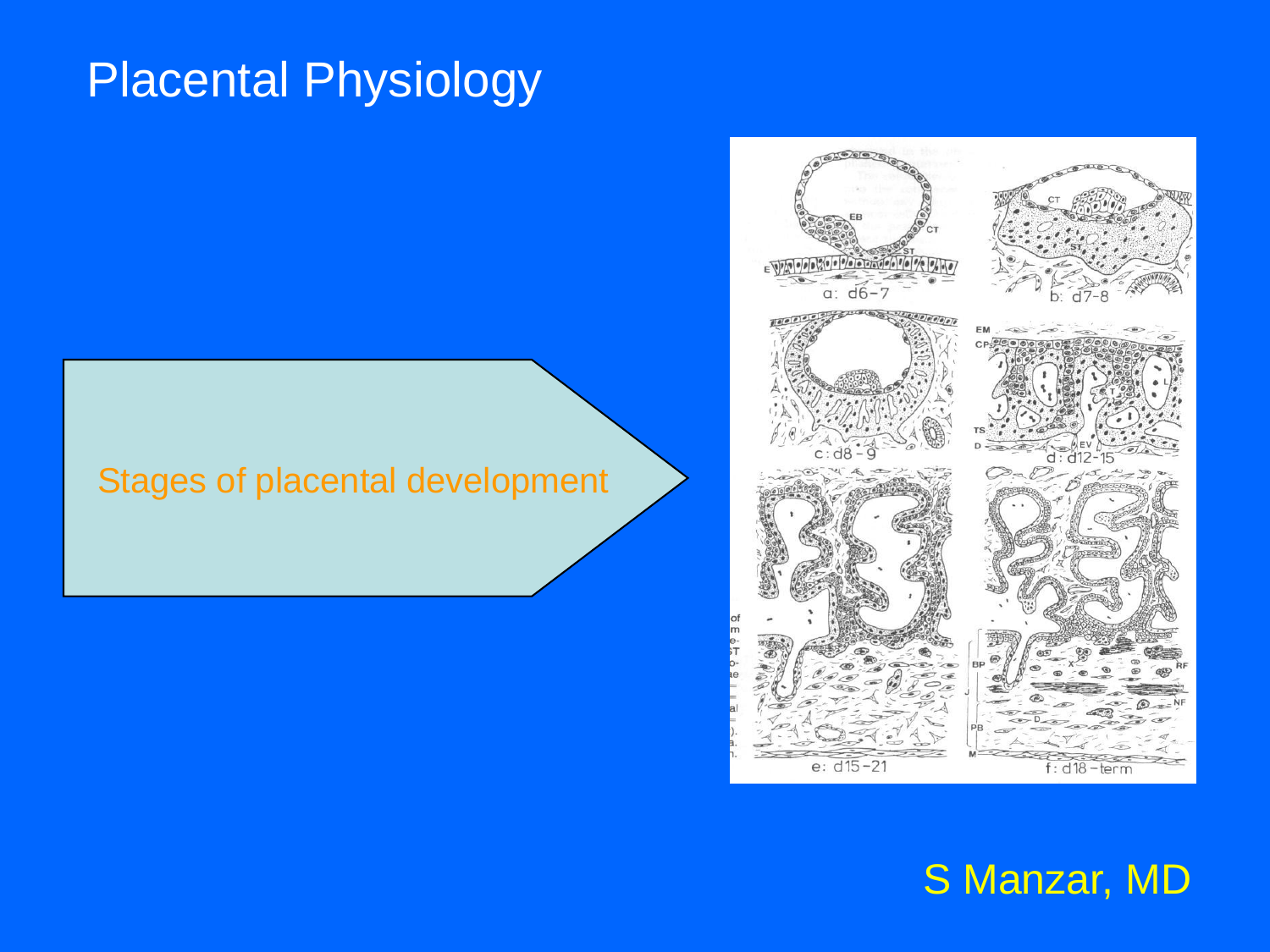#### Stages of placental development

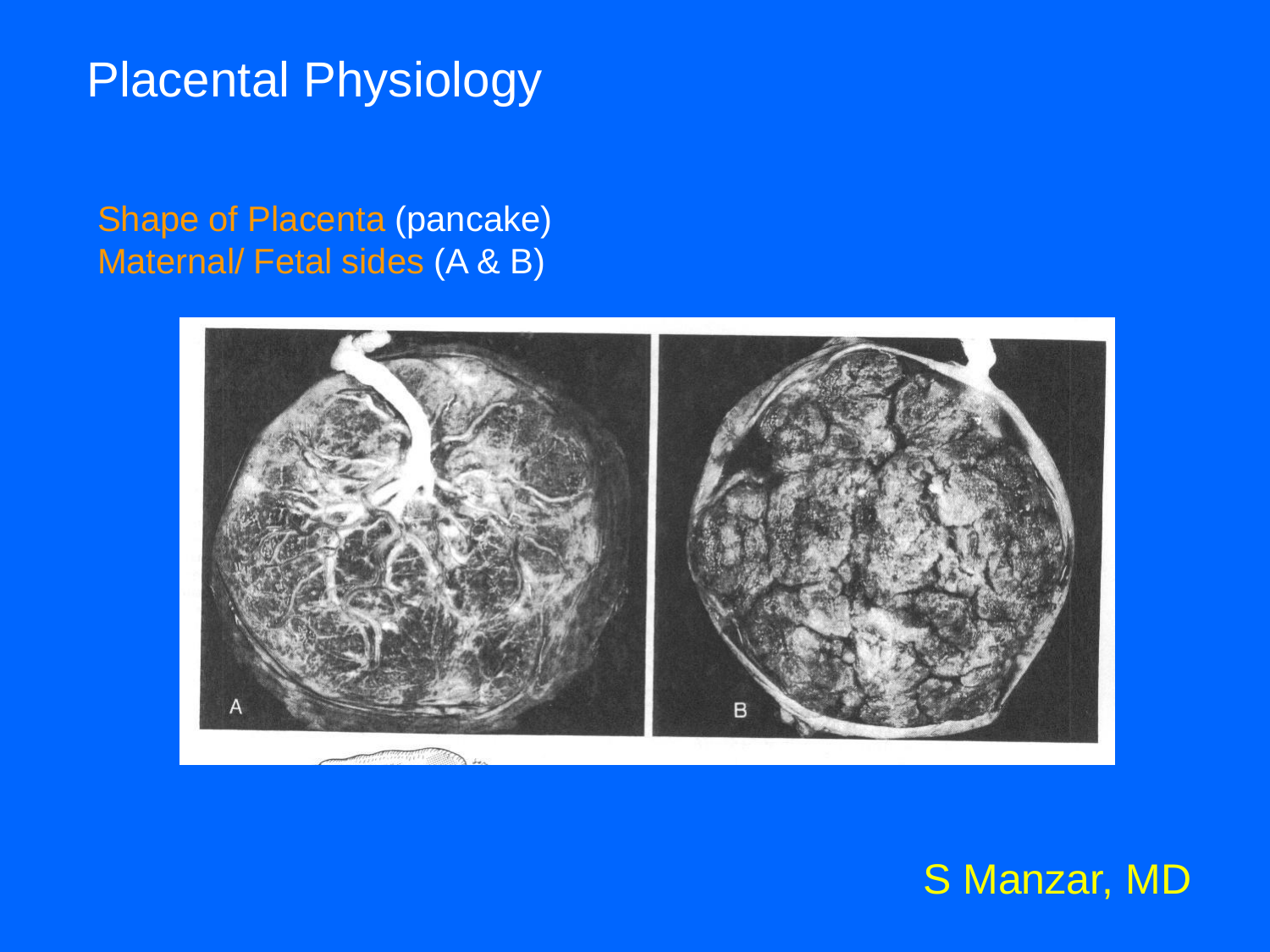Shape of Placenta (pancake) Maternal/ Fetal sides (A & B)

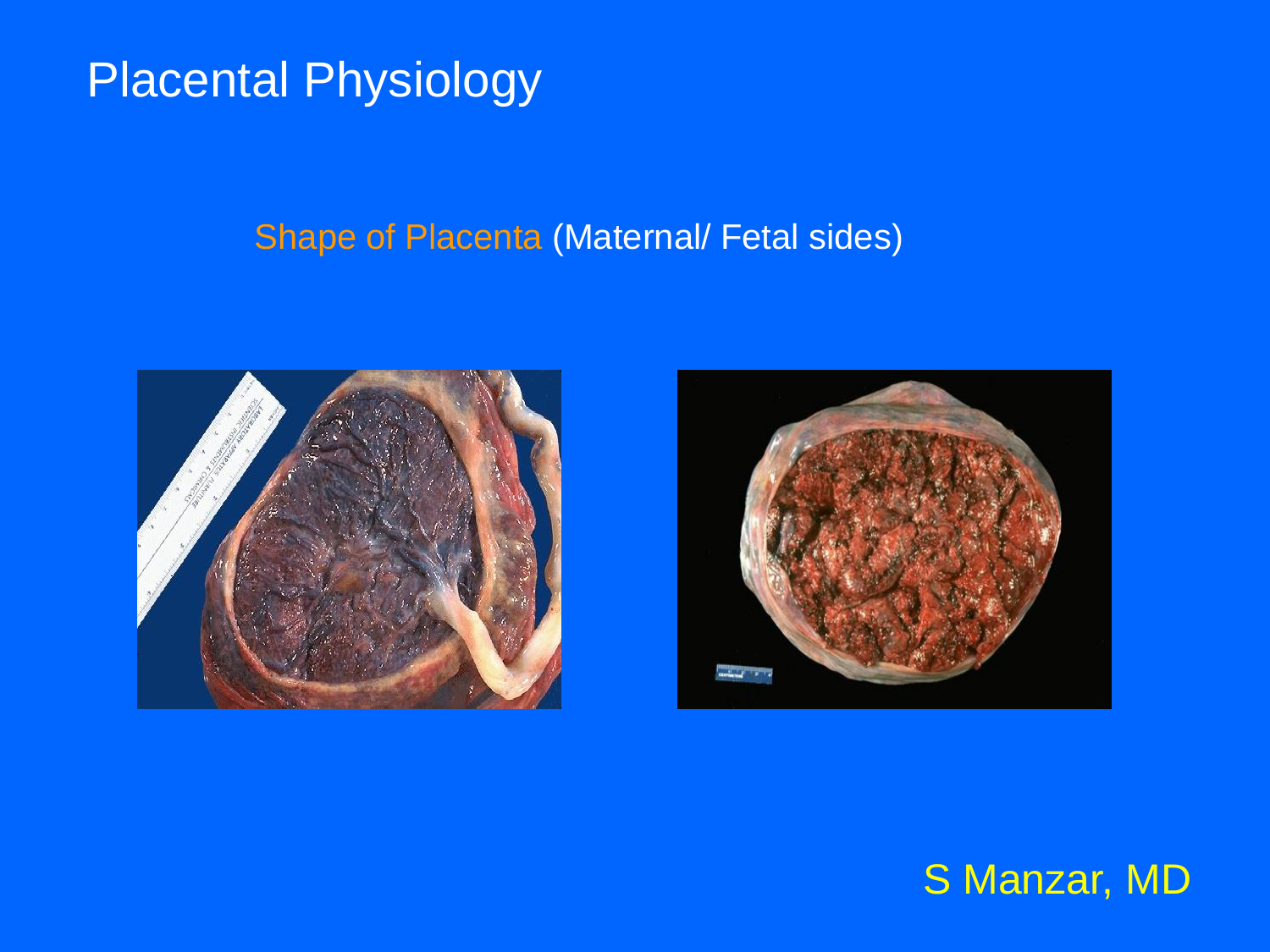#### Shape of Placenta (Maternal/ Fetal sides)

![](_page_7_Picture_2.jpeg)

![](_page_7_Picture_3.jpeg)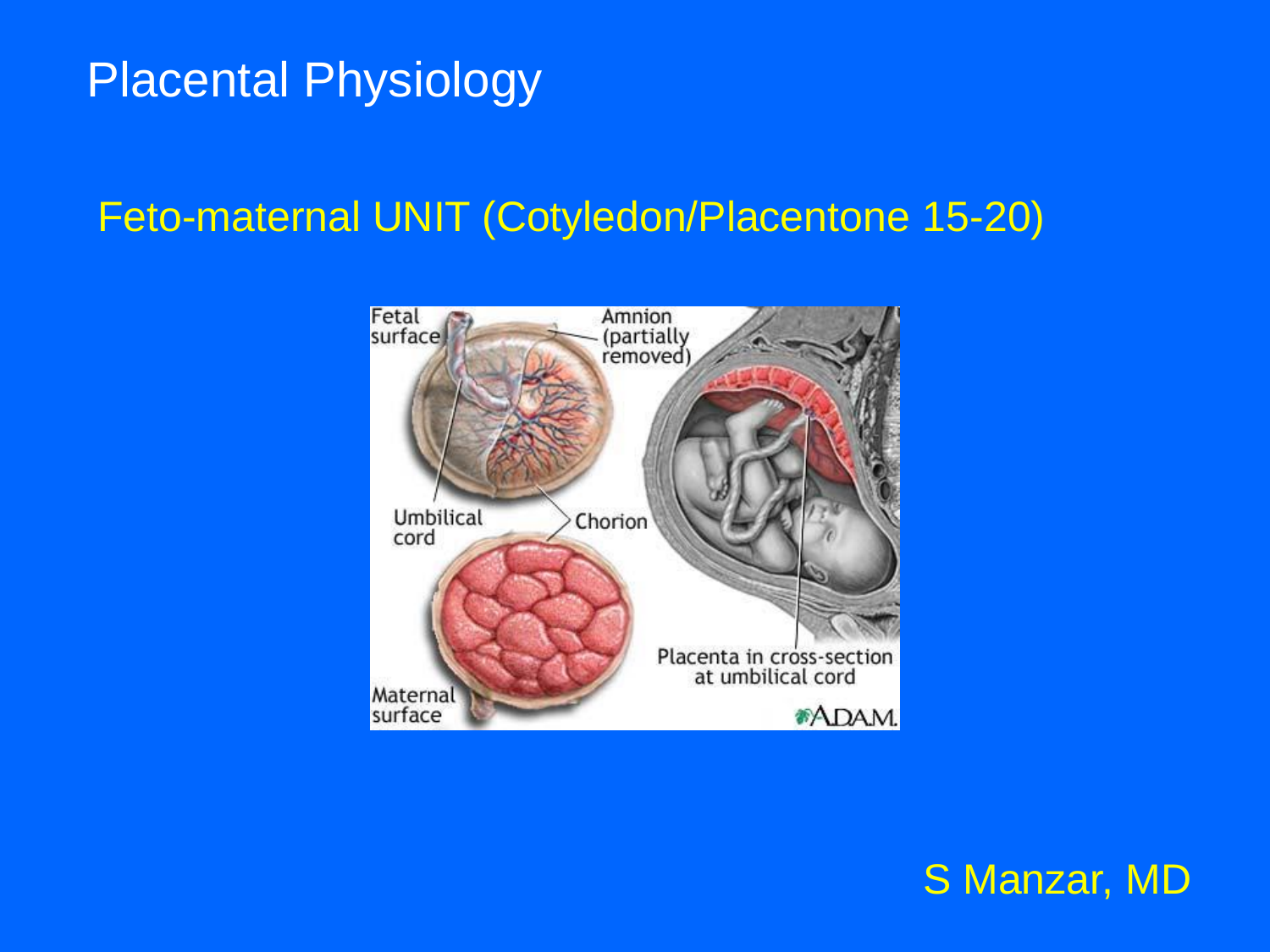### Feto-maternal UNIT (Cotyledon/Placentone 15-20)

![](_page_8_Picture_2.jpeg)

![](_page_8_Picture_3.jpeg)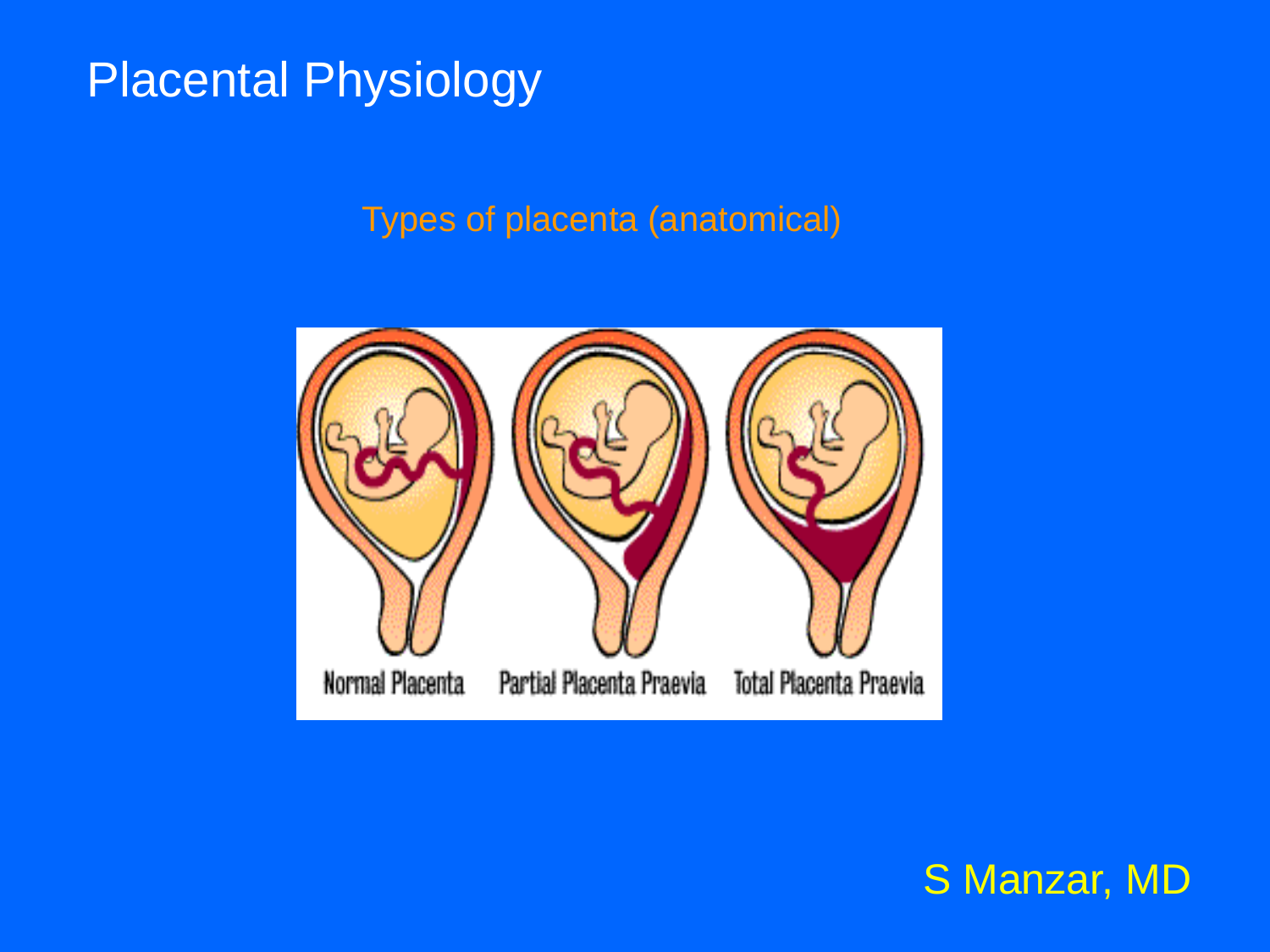Types of placenta (anatomical)

![](_page_9_Picture_2.jpeg)

![](_page_9_Picture_3.jpeg)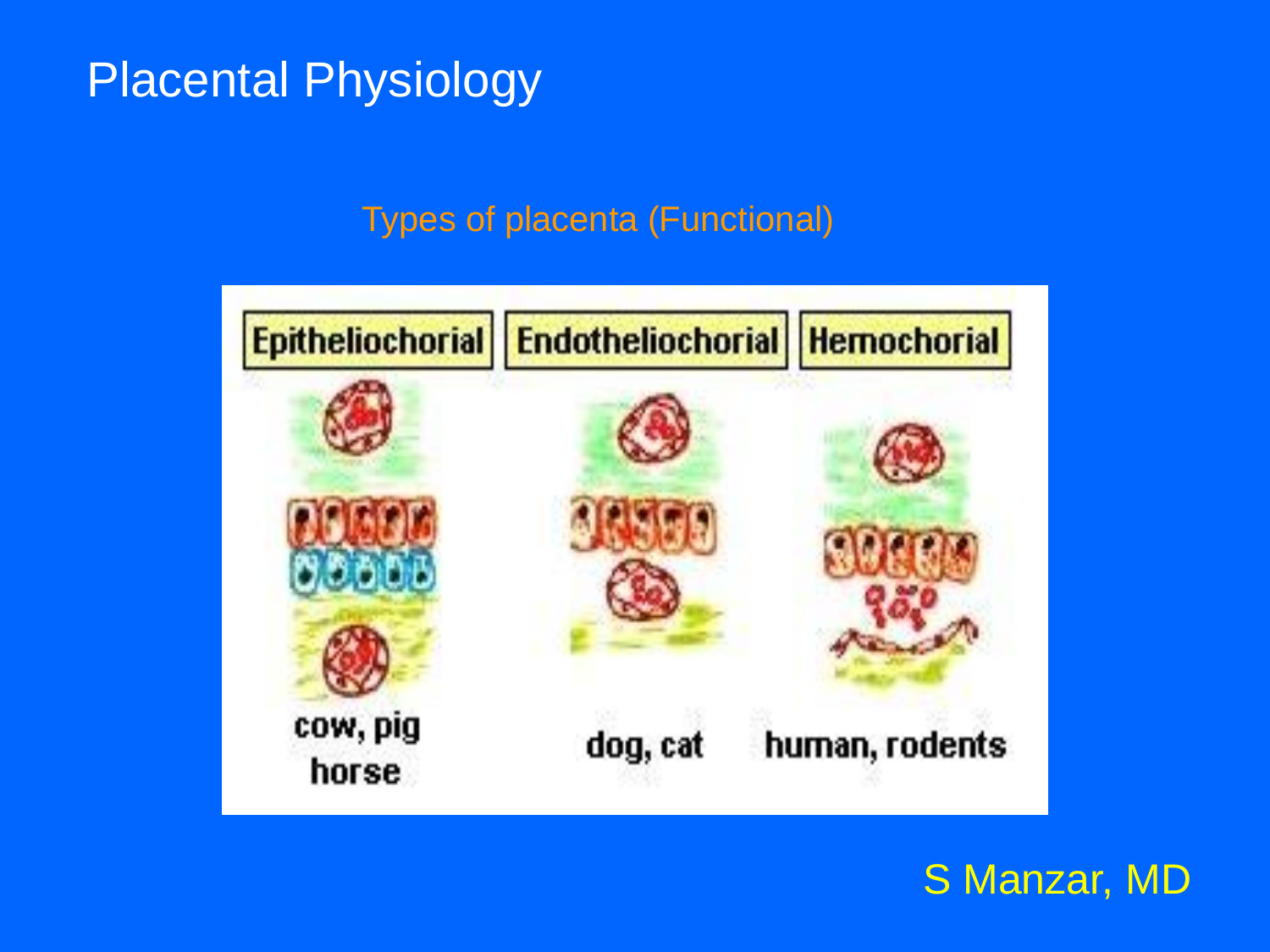#### Types of placenta (Functional)

|                   | Epitheliochorial   Endotheliochorial   Hemochorial |                |
|-------------------|----------------------------------------------------|----------------|
|                   |                                                    |                |
|                   |                                                    |                |
|                   |                                                    |                |
| cow, pig<br>horse | dog, cat                                           | human, rodents |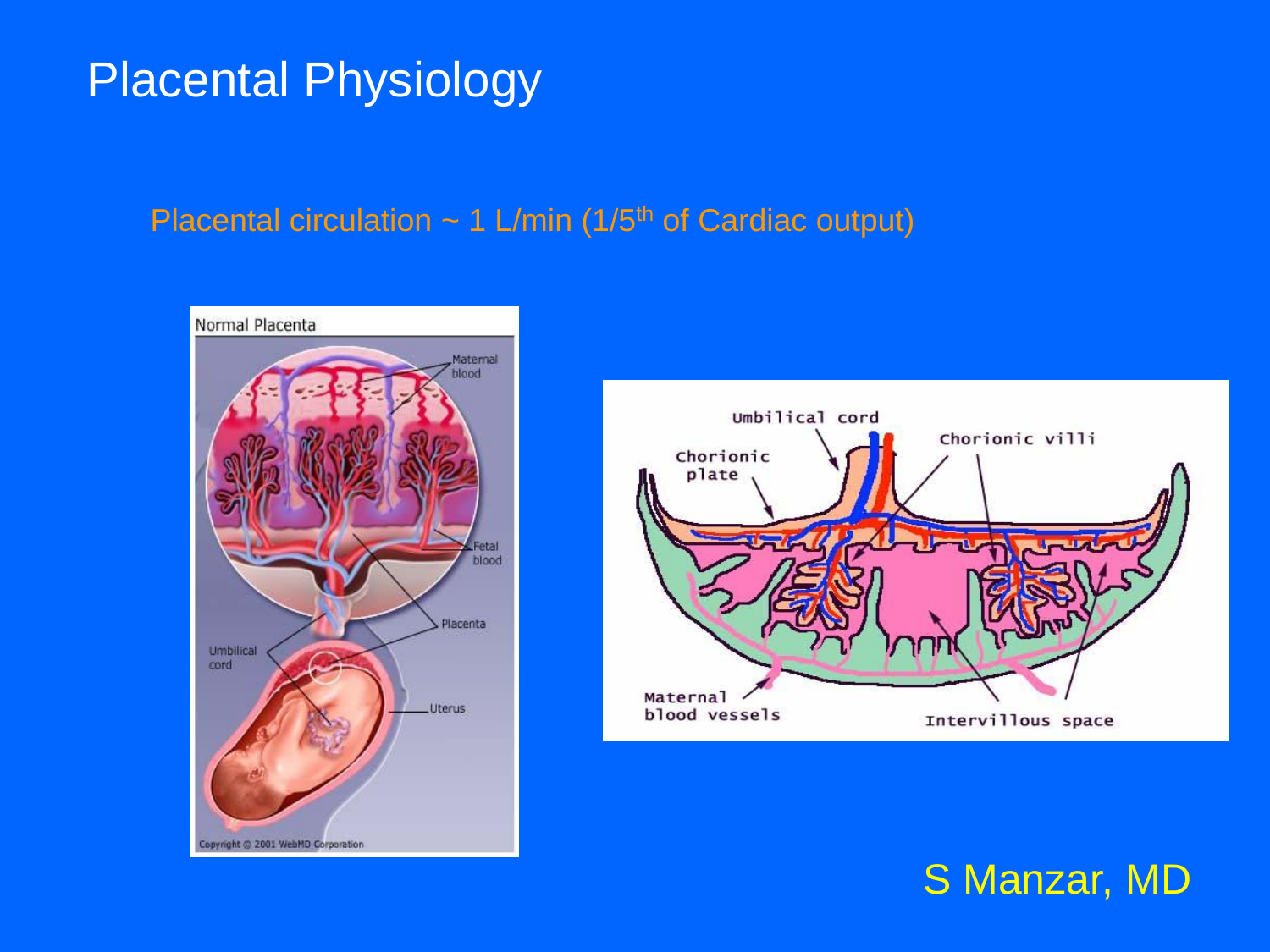#### Placental circulation  $\sim 1$  L/min (1/5<sup>th</sup> of Cardiac output)

![](_page_11_Picture_2.jpeg)

![](_page_11_Figure_3.jpeg)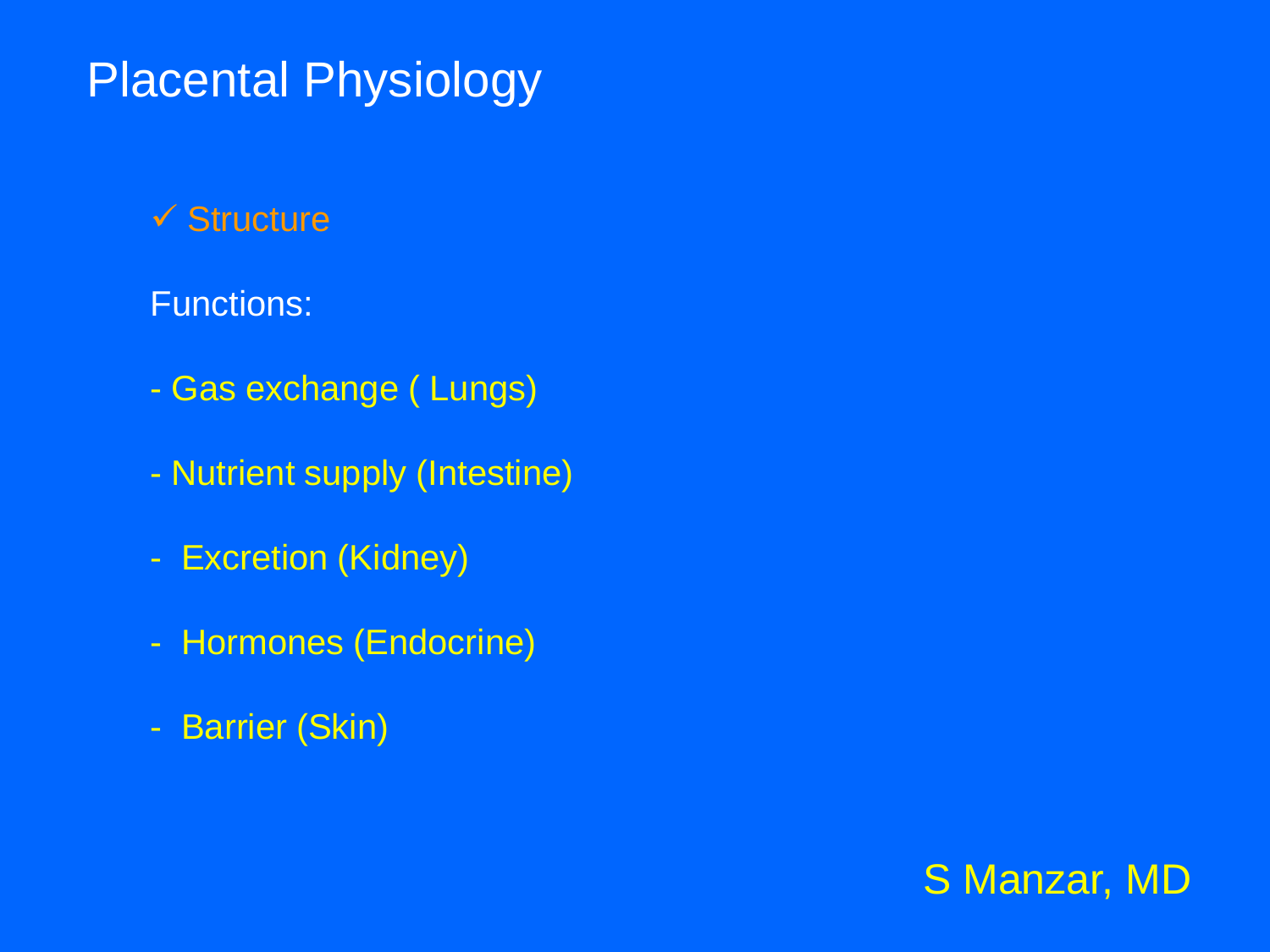#### $\checkmark$  Structure

#### Functions:

- Gas exchange ( Lungs)
- Nutrient supply (Intestine)
- Excretion (Kidney)
- Hormones (Endocrine)
- Barrier (Skin)

![](_page_12_Picture_8.jpeg)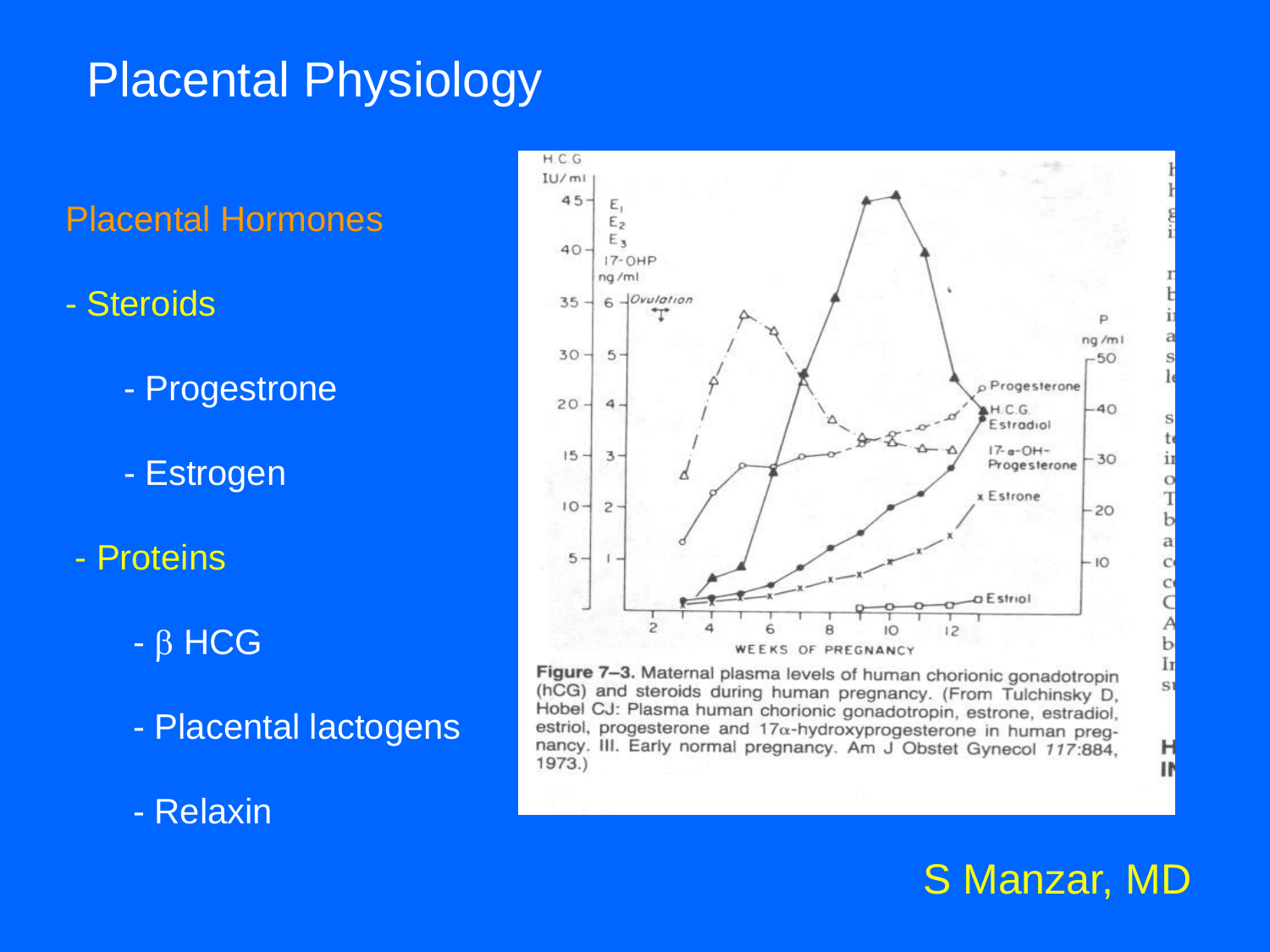Placental Hormones

- Steroids
	- Progestrone
	- Estrogen
- Proteins
	- $\beta$  HCG
	- Placental lactogens
	- Relaxin

![](_page_13_Figure_9.jpeg)

Figure 7-3. Maternal plasma levels of human chorionic gonadotropin (hCG) and steroids during human pregnancy. (From Tulchinsky D, Hobel CJ: Plasma human chorionic gonadotropin, estrone, estradiol, estriol, progesterone and  $17\alpha$ -hydroxyprogesterone in human pregnancy. III. Early normal pregnancy. Am J Obstet Gynecol 117:884, 1973.)

![](_page_13_Picture_11.jpeg)

b

Ir

S1

н

I۴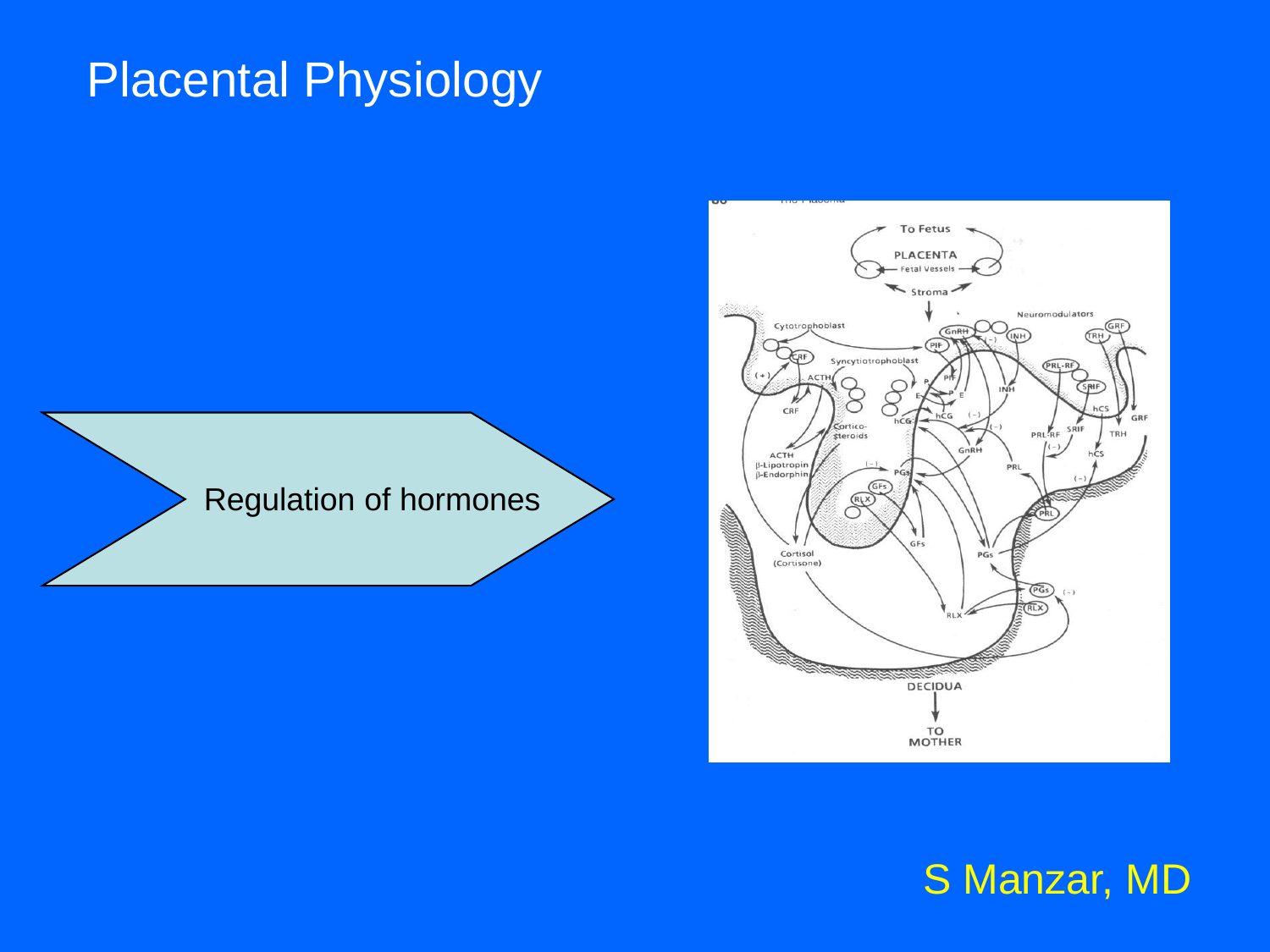Regulation of hormones

![](_page_14_Figure_2.jpeg)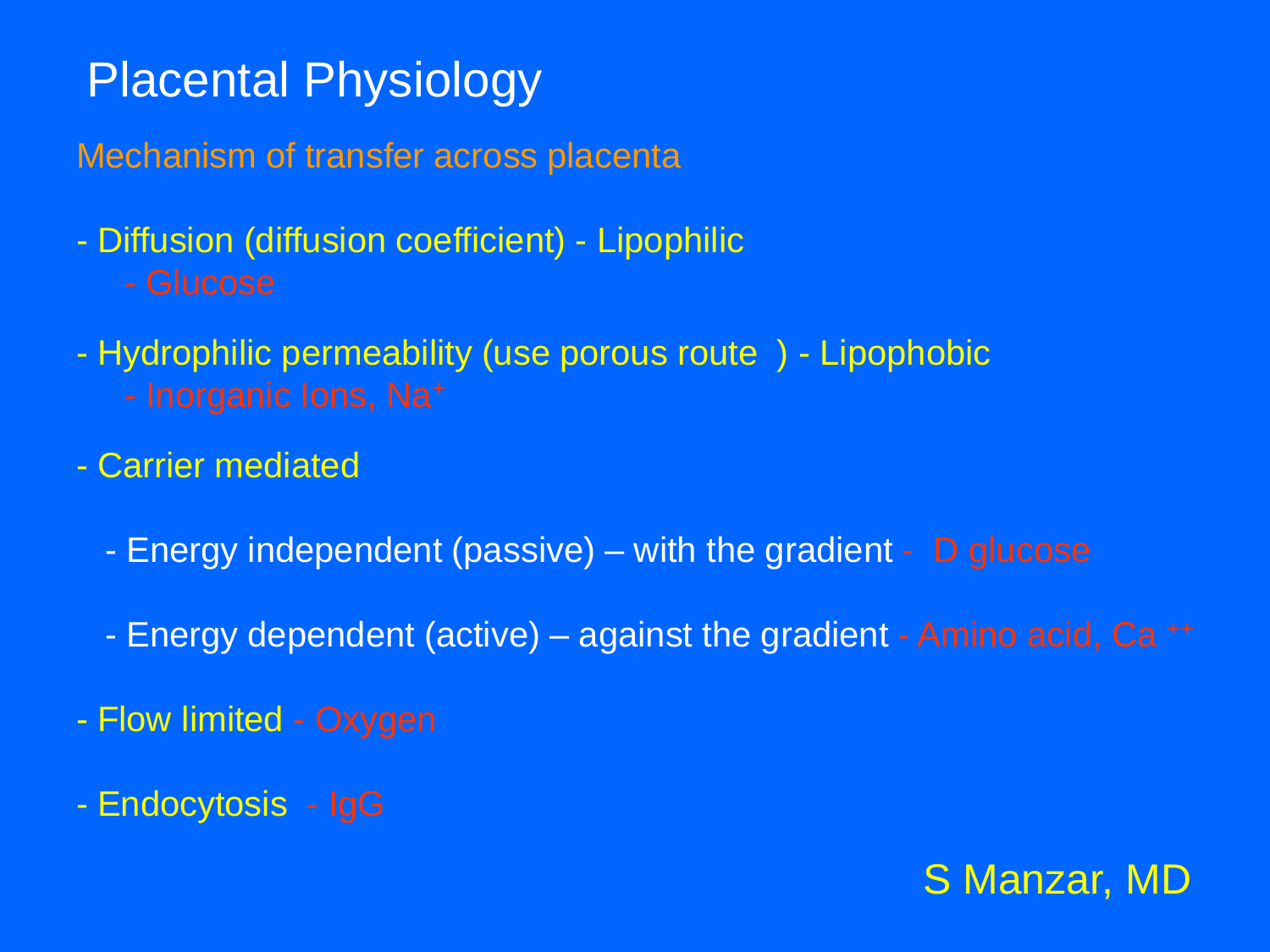Mechanism of transfer across placenta

- Diffusion (diffusion coefficient) Lipophilic
	-
- Hydrophilic permeability (use porous route ) Lipophobic
	-
- Carrier mediated
	- Energy independent (passive) with the gradient D glucose
	- Energy dependent (active) against the gradient Amino acid, Ca ++
- Flow limited Oxygen
- Endocytosis IgG

![](_page_15_Picture_11.jpeg)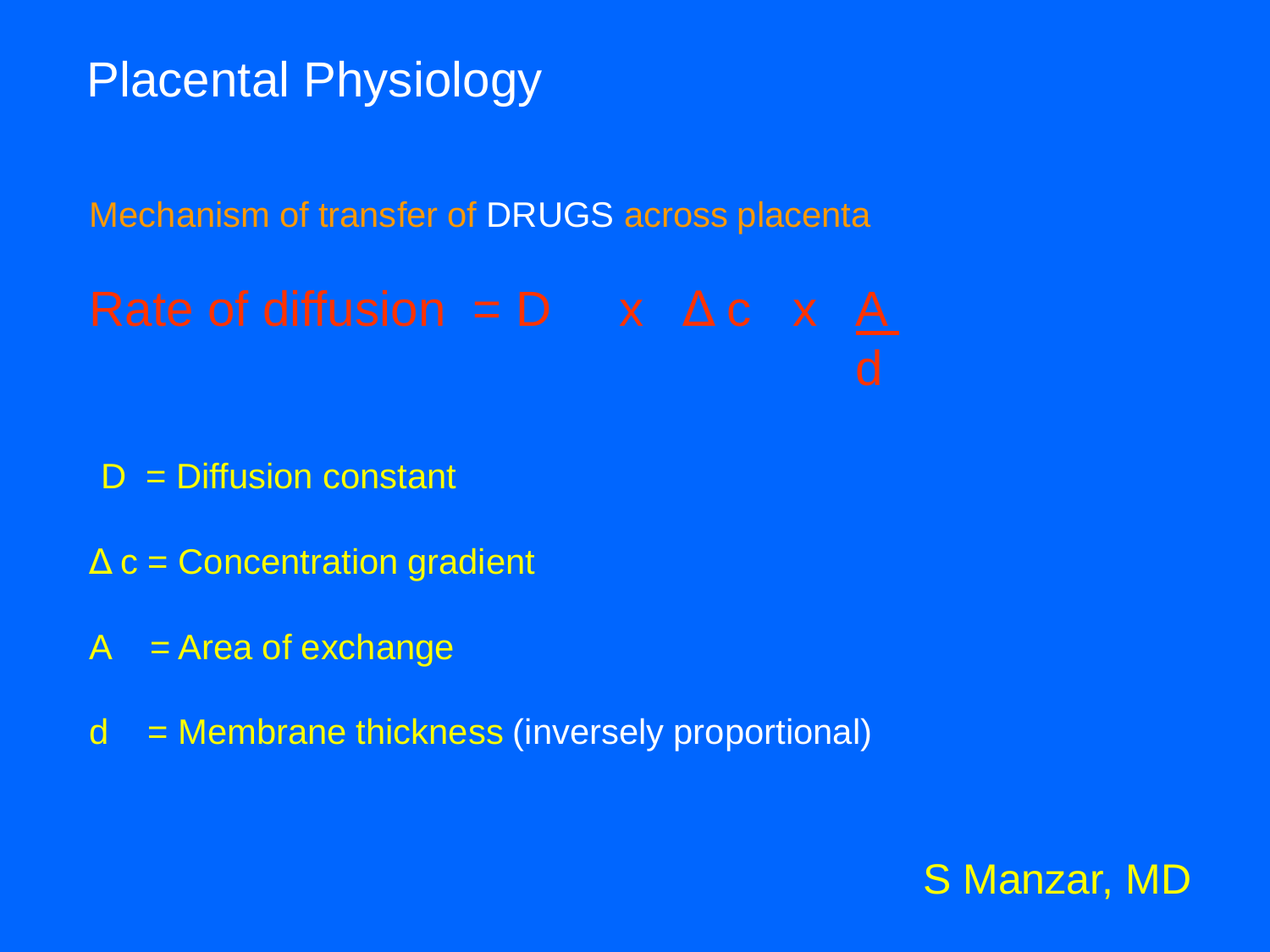Mechanism of transfer of DRUGS across placenta

D = Diffusion constant

- $\Delta c$  = Concentration gradient
- $A = Area$  of exchange
- d = Membrane thickness (inversely proportional)

![](_page_16_Picture_7.jpeg)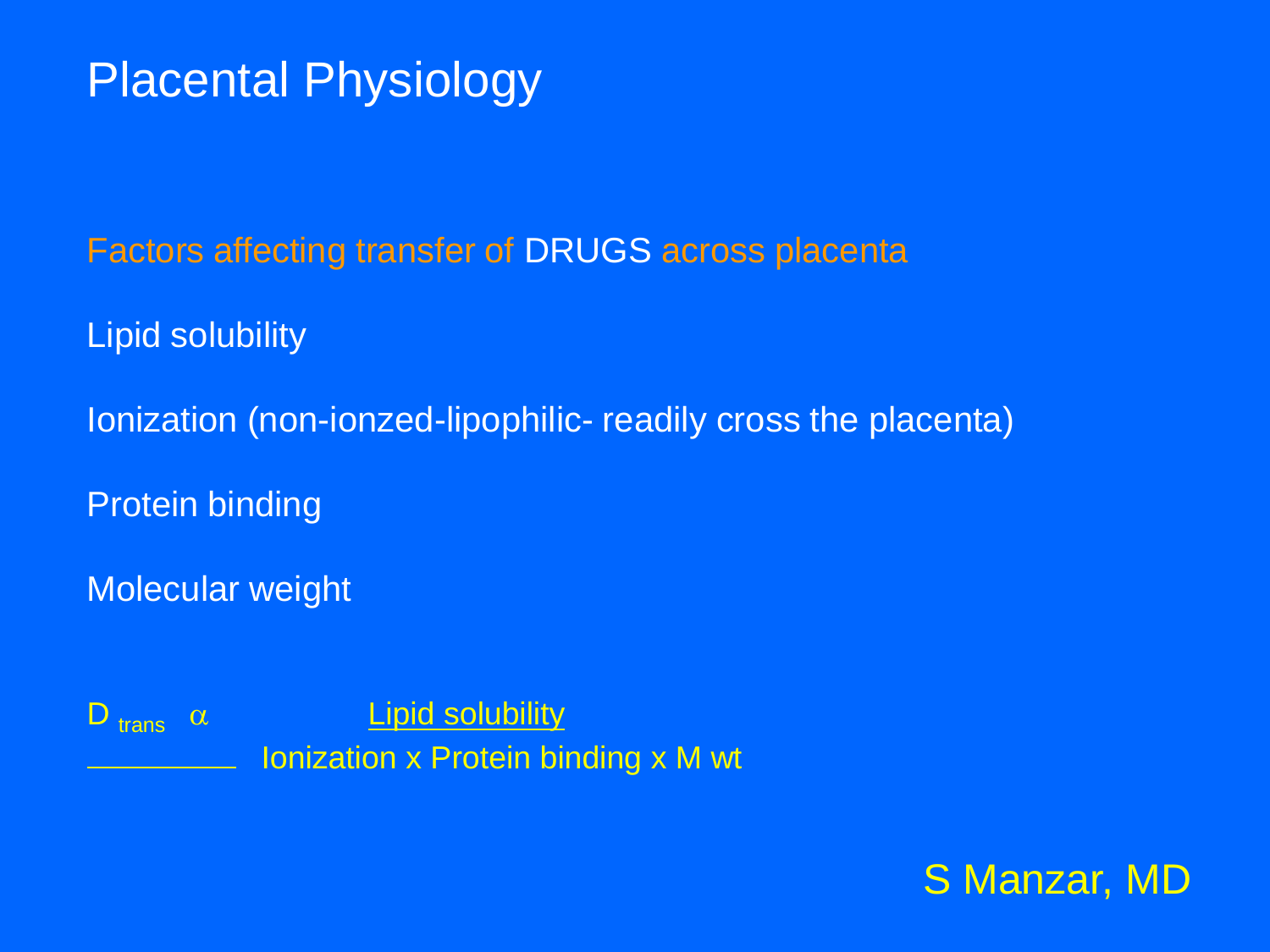Factors affecting transfer of DRUGS across placenta

Lipid solubility

Ionization (non-ionzed-lipophilic- readily cross the placenta)

Protein binding

Molecular weight

 $D_{trans}$   $\alpha$  **Lipid solubility** Ionization x Protein binding x M wt

![](_page_17_Picture_7.jpeg)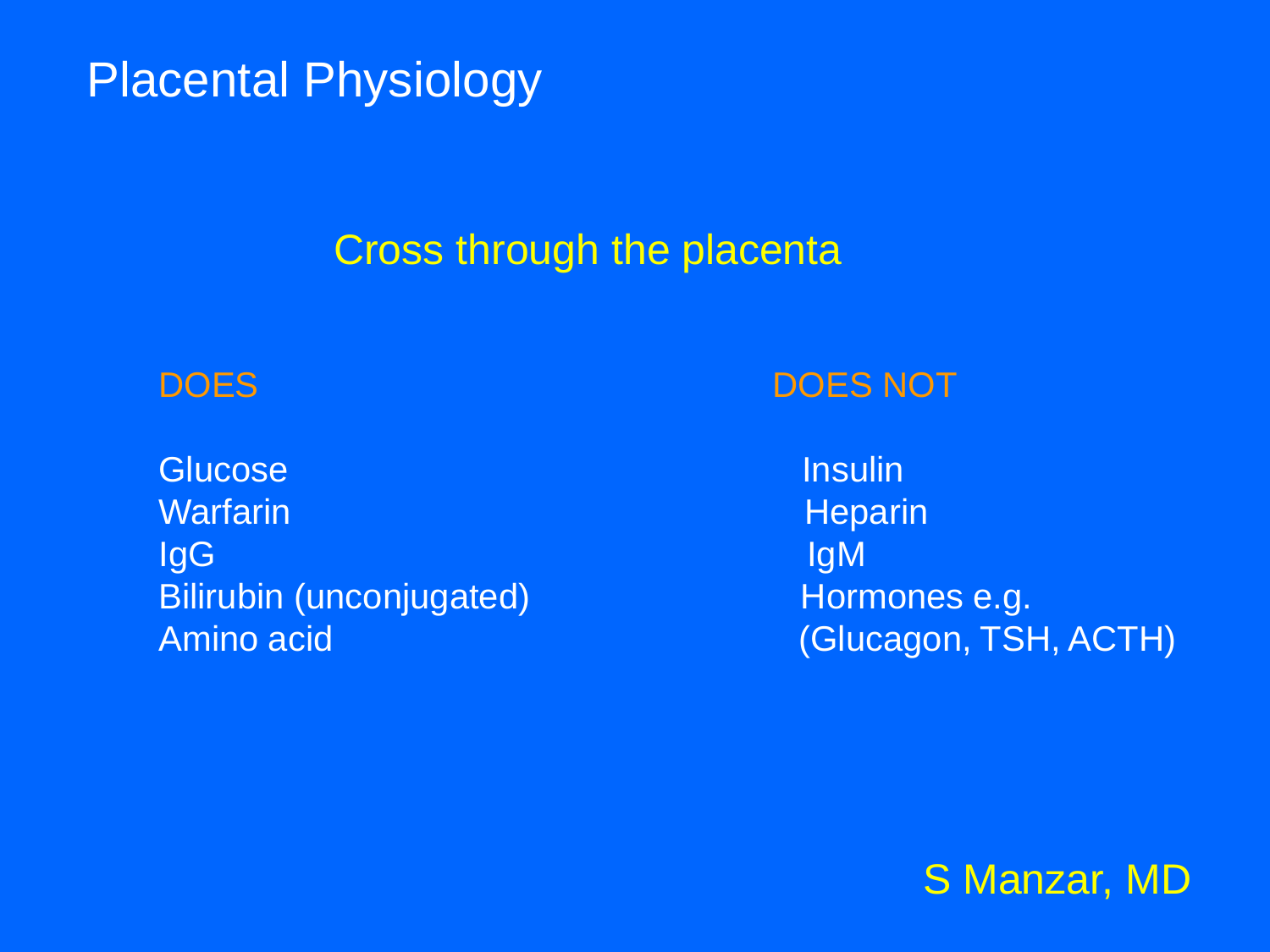### Cross through the placenta

Glucose and the state of the state of the Insulin Warfarin **Heparin** Heparin Heparin Heparin **IgG** Igma is a strong of the strong of the strong strong  $\mathsf{I}\mathsf{g}\mathsf{M}$ Bilirubin (unconjugated) Hormones e.g.

#### DOES DOES NOT

Amino acid (Glucagon, TSH, ACTH)

![](_page_18_Picture_6.jpeg)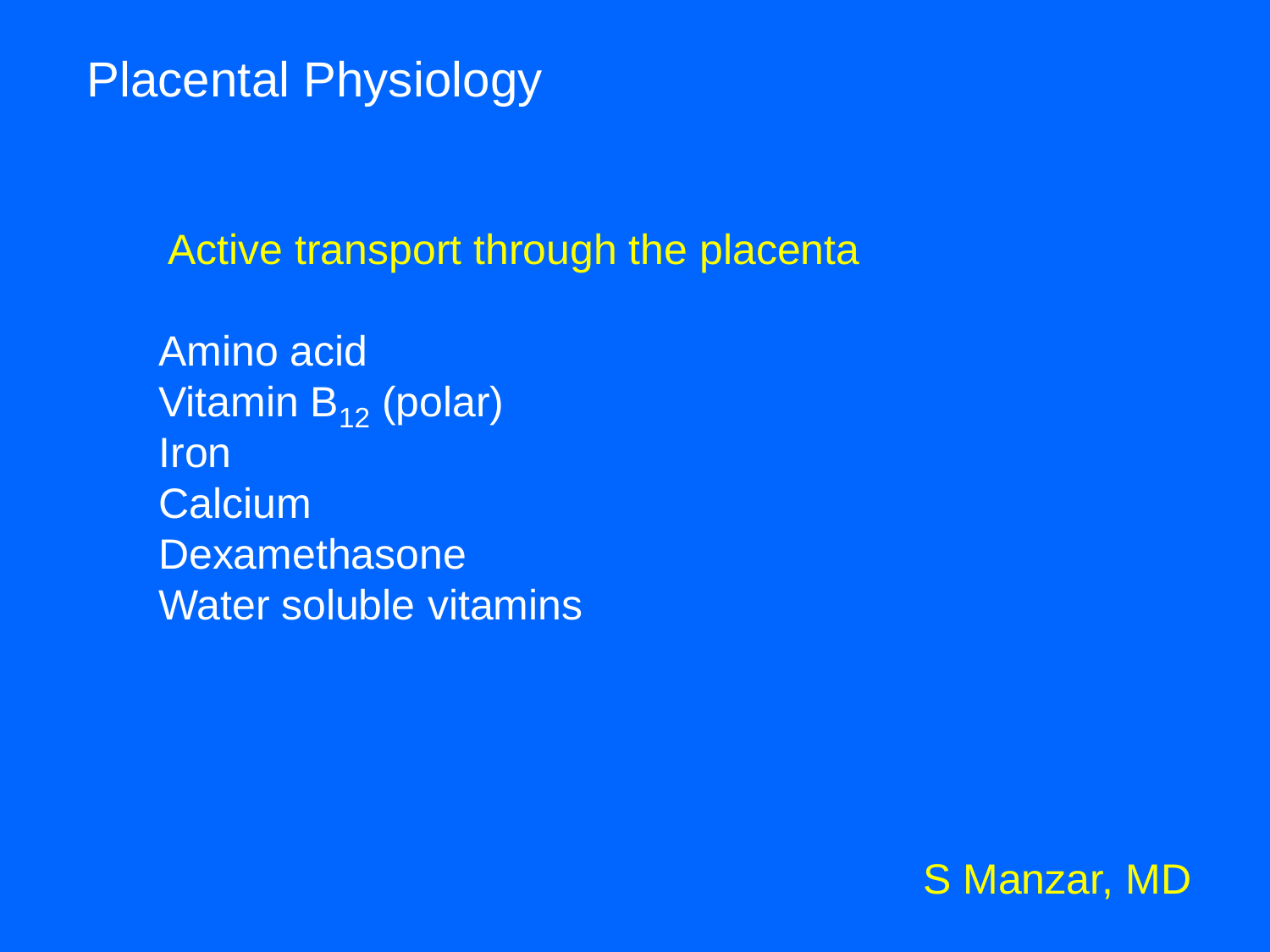Active transport through the placenta

Amino acid Vitamin  $B_{12}$  (polar) Iron **Calcium** Dexamethasone Water soluble vitamins

![](_page_19_Picture_3.jpeg)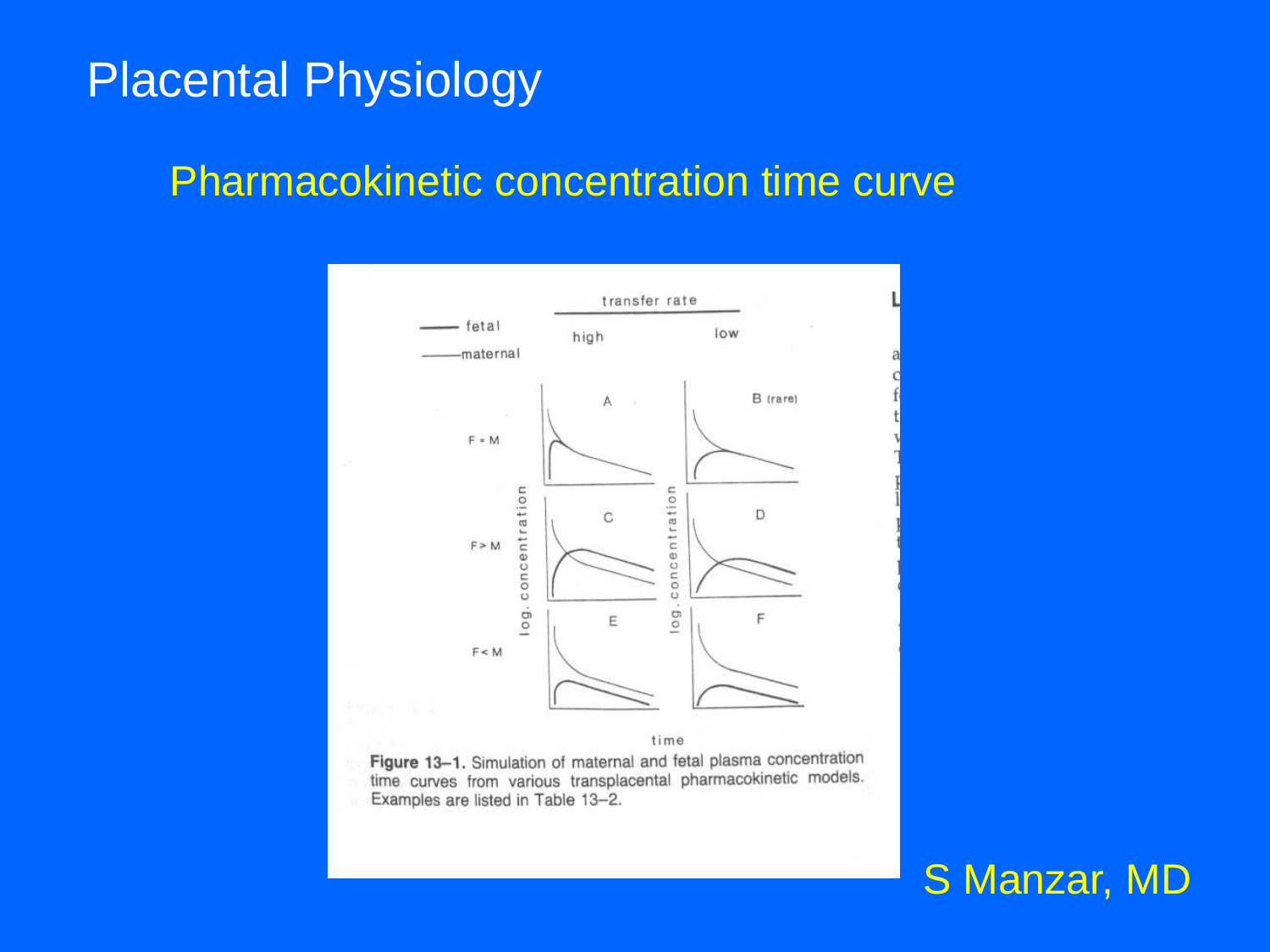#### Pharmacokinetic concentration time curve

![](_page_20_Figure_2.jpeg)

Figure 13-1. Simulation of maternal and fetal plasma concentration time curves from various transplacental pharmacokinetic models. Examples are listed in Table 13-2.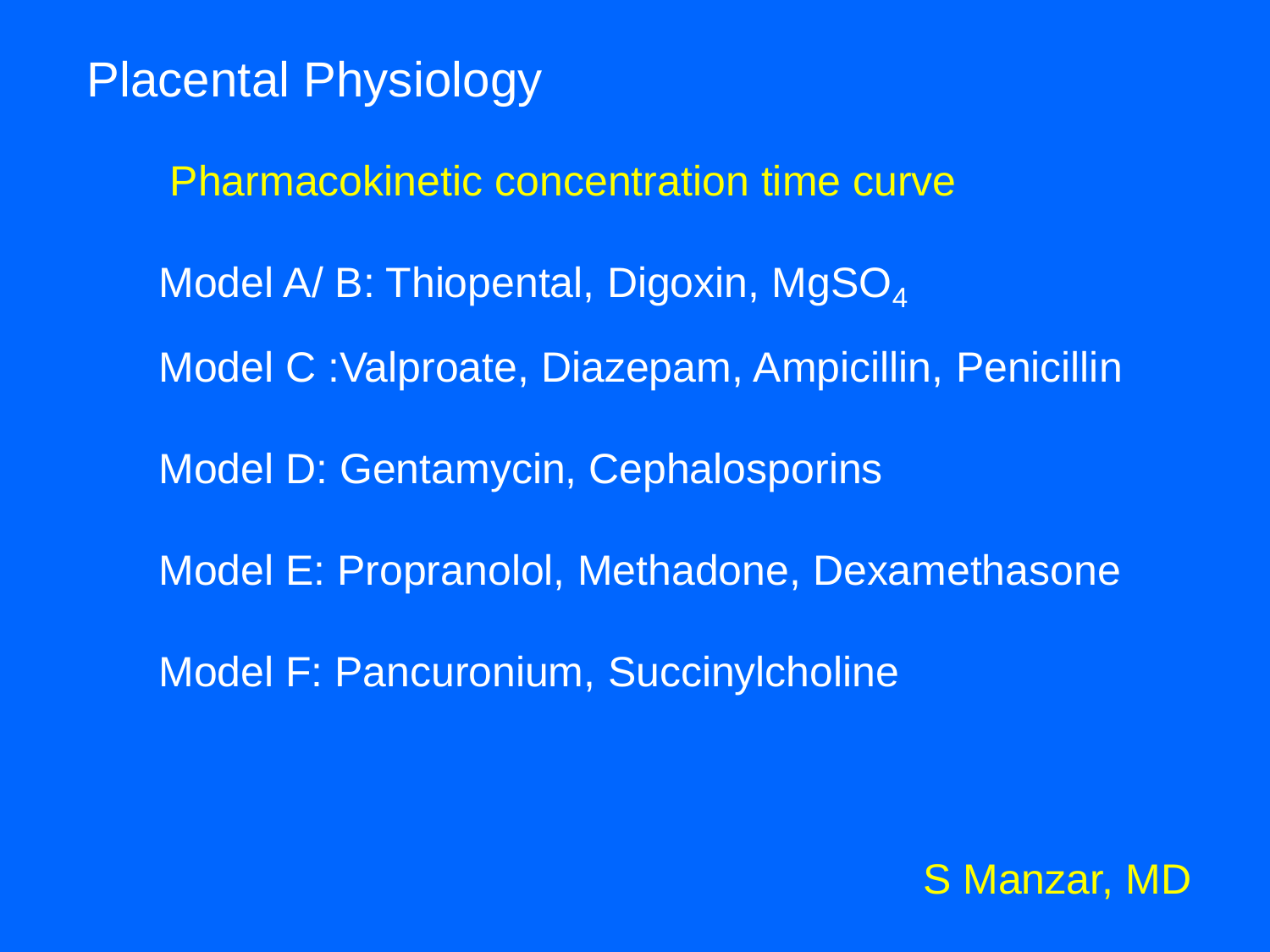Pharmacokinetic concentration time curve Model A/ B: Thiopental, Digoxin, MgSO<sub>4</sub> Model C :Valproate, Diazepam, Ampicillin, Penicillin Model D: Gentamycin, Cephalosporins Model E: Propranolol, Methadone, Dexamethasone Model F: Pancuronium, Succinylcholine

![](_page_21_Picture_2.jpeg)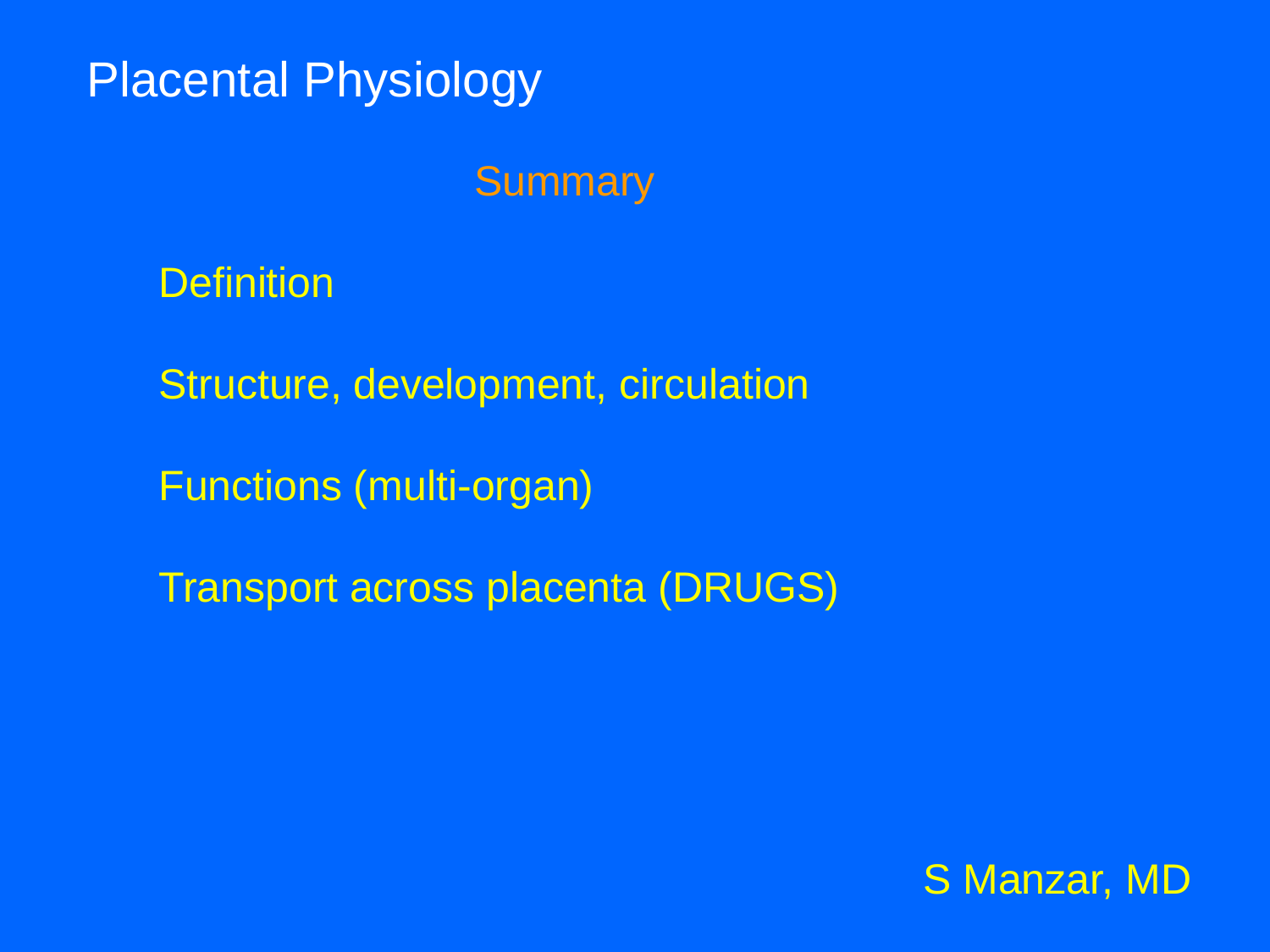### **Summary**

**Definition** 

Structure, development, circulation

Functions (multi-organ)

Transport across placenta (DRUGS)

![](_page_22_Picture_6.jpeg)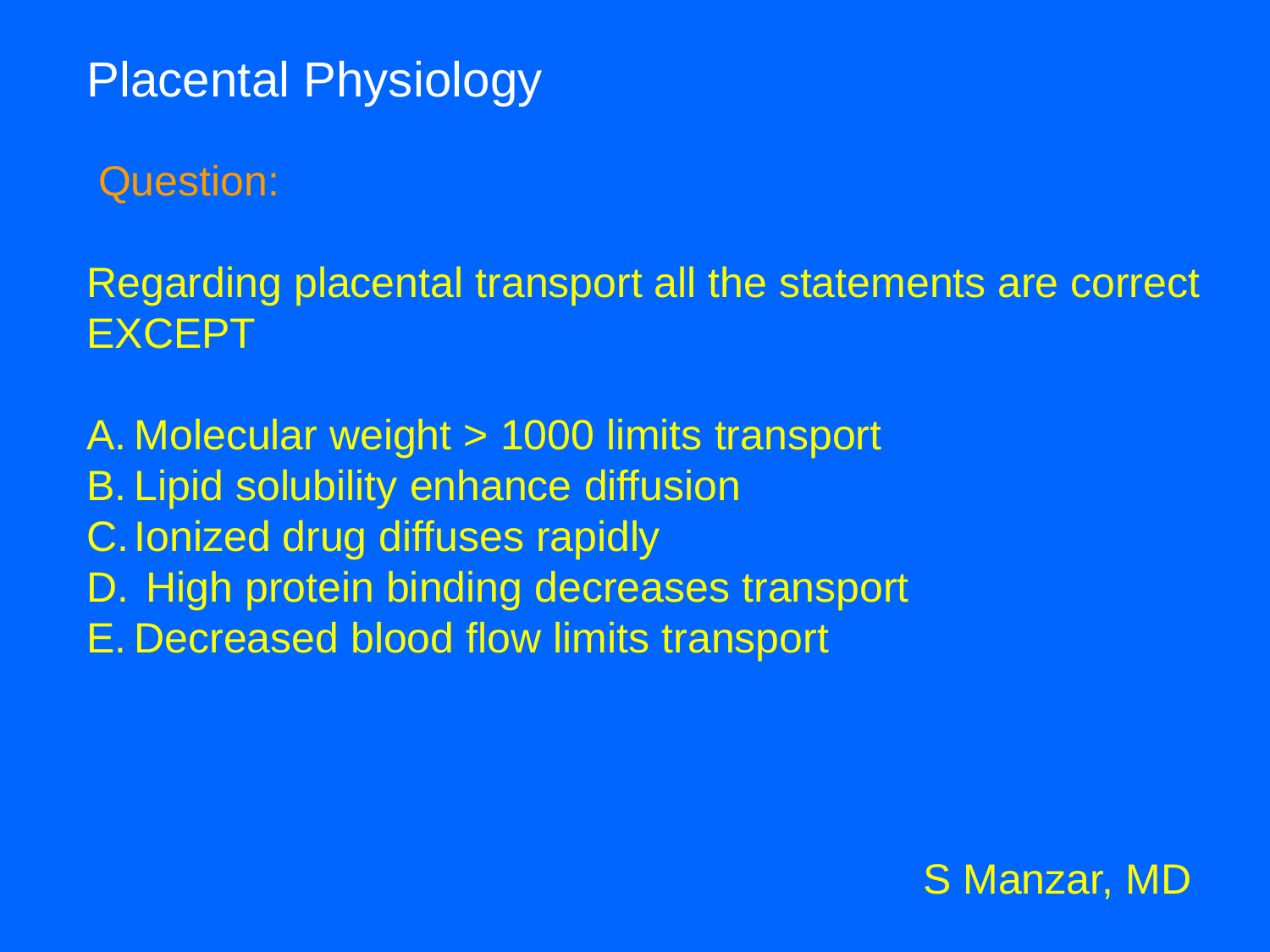Question:

Regarding placental transport all the statements are correct EXCEPT

A. Molecular weight > 1000 limits transport B. Lipid solubility enhance diffusion C.Ionized drug diffuses rapidly D. High protein binding decreases transport E. Decreased blood flow limits transport

![](_page_23_Picture_4.jpeg)